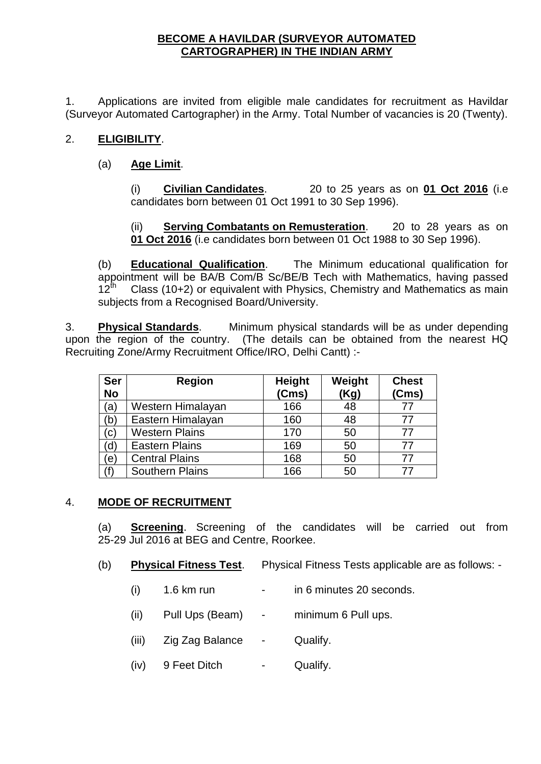## **BECOME A HAVILDAR (SURVEYOR AUTOMATED CARTOGRAPHER) IN THE INDIAN ARMY**

1. Applications are invited from eligible male candidates for recruitment as Havildar (Surveyor Automated Cartographer) in the Army. Total Number of vacancies is 20 (Twenty).

# 2. **ELIGIBILITY**.

# (a) **Age Limit**.

(i) **Civilian Candidates**. 20 to 25 years as on **01 Oct 2016** (i.e candidates born between 01 Oct 1991 to 30 Sep 1996).

(ii) **Serving Combatants on Remusteration**. 20 to 28 years as on **01 Oct 2016** (i.e candidates born between 01 Oct 1988 to 30 Sep 1996).

(b) **Educational Qualification**. The Minimum educational qualification for appointment will be BA/B Com/B Sc/BE/B Tech with Mathematics, having passed  $12<sup>th</sup>$  Class (10+2) or equivalent with Physics, Chemistry and Mathematics as main subjects from a Recognised Board/University.

3. **Physical Standards**. Minimum physical standards will be as under depending upon the region of the country. (The details can be obtained from the nearest HQ Recruiting Zone/Army Recruitment Office/IRO, Delhi Cantt) :-

| <b>Ser</b><br><b>No</b> | <b>Region</b>          | <b>Height</b><br>(Cms) | Weight<br>(Kg) | <b>Chest</b><br>(Cms) |
|-------------------------|------------------------|------------------------|----------------|-----------------------|
| (a)                     | Western Himalayan      | 166                    | 48             | 77                    |
| (b)                     | Eastern Himalayan      | 160                    | 48             | 77                    |
| (c)                     | <b>Western Plains</b>  | 170                    | 50             | 77                    |
| (d)                     | <b>Eastern Plains</b>  | 169                    | 50             | 77                    |
| (e)                     | <b>Central Plains</b>  | 168                    | 50             | 77                    |
| 'f)                     | <b>Southern Plains</b> | 166                    | 50             | 77                    |

## 4. **MODE OF RECRUITMENT**

(a) **Screening**. Screening of the candidates will be carried out from 25-29 Jul 2016 at BEG and Centre, Roorkee.

- (b) **Physical Fitness Test**. Physical Fitness Tests applicable are as follows:
	- $(i)$  1.6 km run in 6 minutes 20 seconds.
	- (ii) Pull Ups (Beam) minimum 6 Pull ups.
	- (iii) Zig Zag Balance Qualify.
	- (iv) 9 Feet Ditch Qualify.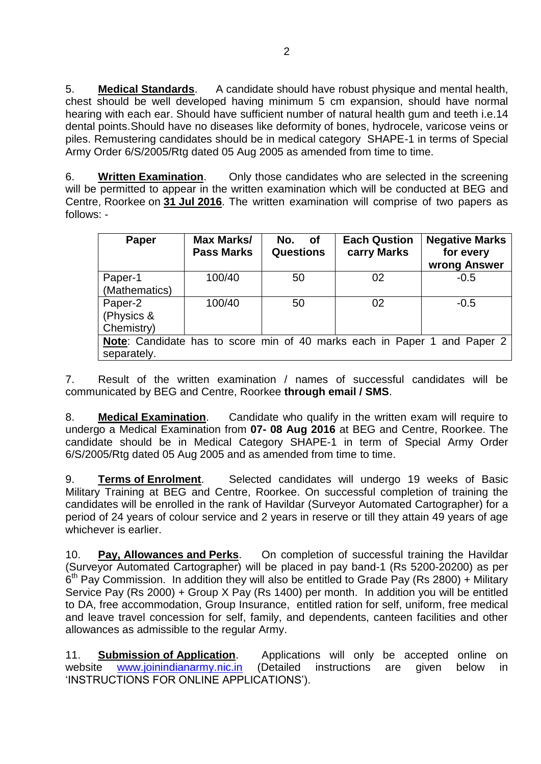5. **Medical Standards**. A candidate should have robust physique and mental health, chest should be well developed having minimum 5 cm expansion, should have normal hearing with each ear. Should have sufficient number of natural health gum and teeth i.e.14 dental points.Should have no diseases like deformity of bones, hydrocele, varicose veins or piles. Remustering candidates should be in medical category SHAPE-1 in terms of Special Army Order 6/S/2005/Rtg dated 05 Aug 2005 as amended from time to time.

6. **Written Examination**. Only those candidates who are selected in the screening will be permitted to appear in the written examination which will be conducted at BEG and Centre, Roorkee on **31 Jul 2016**. The written examination will comprise of two papers as follows: -

| <b>Paper</b>                                                             | <b>Max Marks/</b><br><b>Pass Marks</b> | No.<br>of <b>o</b><br><b>Questions</b> | <b>Each Qustion</b><br>carry Marks | <b>Negative Marks</b><br>for every<br>wrong Answer |  |
|--------------------------------------------------------------------------|----------------------------------------|----------------------------------------|------------------------------------|----------------------------------------------------|--|
| Paper-1                                                                  | 100/40                                 | 50                                     | 02                                 | $-0.5$                                             |  |
| (Mathematics)                                                            |                                        |                                        |                                    |                                                    |  |
| Paper-2                                                                  | 100/40                                 | 50                                     | 02                                 | $-0.5$                                             |  |
| (Physics &                                                               |                                        |                                        |                                    |                                                    |  |
| Chemistry)                                                               |                                        |                                        |                                    |                                                    |  |
| Note: Candidate has to score min of 40 marks each in Paper 1 and Paper 2 |                                        |                                        |                                    |                                                    |  |
| separately.                                                              |                                        |                                        |                                    |                                                    |  |

7. Result of the written examination / names of successful candidates will be communicated by BEG and Centre, Roorkee **through email / SMS**.

8. **Medical Examination**. Candidate who qualify in the written exam will require to undergo a Medical Examination from **07- 08 Aug 2016** at BEG and Centre, Roorkee. The candidate should be in Medical Category SHAPE-1 in term of Special Army Order 6/S/2005/Rtg dated 05 Aug 2005 and as amended from time to time.

9. **Terms of Enrolment**. Selected candidates will undergo 19 weeks of Basic Military Training at BEG and Centre, Roorkee. On successful completion of training the candidates will be enrolled in the rank of Havildar (Surveyor Automated Cartographer) for a period of 24 years of colour service and 2 years in reserve or till they attain 49 years of age whichever is earlier.

10. **Pay, Allowances and Perks**. On completion of successful training the Havildar (Surveyor Automated Cartographer) will be placed in pay band-1 (Rs 5200-20200) as per  $6<sup>th</sup>$  Pay Commission. In addition they will also be entitled to Grade Pay (Rs 2800) + Military Service Pay (Rs 2000) + Group X Pay (Rs 1400) per month. In addition you will be entitled to DA, free accommodation, Group Insurance, entitled ration for self, uniform, free medical and leave travel concession for self, family, and dependents, canteen facilities and other allowances as admissible to the regular Army.

11. **Submission of Application**. Applications will only be accepted online on website [www.joinindianarmy.nic.in](http://www.joinindianarmy.nic.in/) (Detailed instructions are given below in 'INSTRUCTIONS FOR ONLINE APPLICATIONS').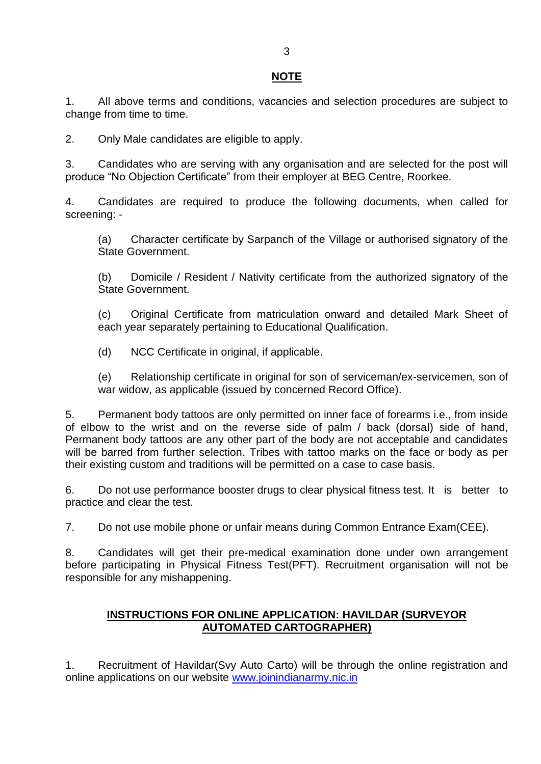## **NOTE**

1. All above terms and conditions, vacancies and selection procedures are subject to change from time to time.

2. Only Male candidates are eligible to apply.

3. Candidates who are serving with any organisation and are selected for the post will produce "No Objection Certificate" from their employer at BEG Centre, Roorkee.

4. Candidates are required to produce the following documents, when called for screening: -

(a) Character certificate by Sarpanch of the Village or authorised signatory of the State Government.

(b) Domicile / Resident / Nativity certificate from the authorized signatory of the State Government.

(c) Original Certificate from matriculation onward and detailed Mark Sheet of each year separately pertaining to Educational Qualification.

(d) NCC Certificate in original, if applicable.

(e) Relationship certificate in original for son of serviceman/ex-servicemen, son of war widow, as applicable (issued by concerned Record Office).

5. Permanent body tattoos are only permitted on inner face of forearms i.e., from inside of elbow to the wrist and on the reverse side of palm / back (dorsal) side of hand, Permanent body tattoos are any other part of the body are not acceptable and candidates will be barred from further selection. Tribes with tattoo marks on the face or body as per their existing custom and traditions will be permitted on a case to case basis.

6. Do not use performance booster drugs to clear physical fitness test. It is better to practice and clear the test.

7. Do not use mobile phone or unfair means during Common Entrance Exam(CEE).

8. Candidates will get their pre-medical examination done under own arrangement before participating in Physical Fitness Test(PFT). Recruitment organisation will not be responsible for any mishappening.

## **INSTRUCTIONS FOR ONLINE APPLICATION: HAVILDAR (SURVEYOR AUTOMATED CARTOGRAPHER)**

1. Recruitment of Havildar(Svy Auto Carto) will be through the online registration and online applications on our website [www.joinindianarmy.nic.in](http://www.joinindianarmy.nic.in/)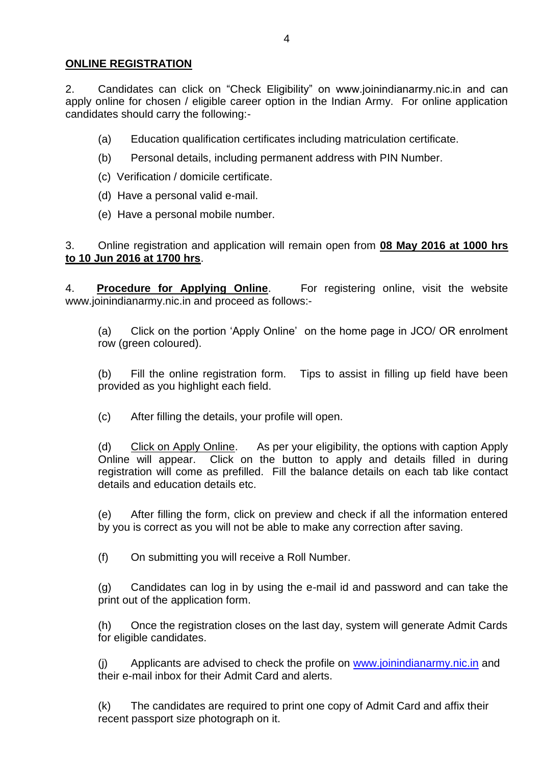## **ONLINE REGISTRATION**

2. Candidates can click on "Check Eligibility" on www.joinindianarmy.nic.in and can apply online for chosen / eligible career option in the Indian Army. For online application candidates should carry the following:-

- (a) Education qualification certificates including matriculation certificate.
- (b) Personal details, including permanent address with PIN Number.
- (c) Verification / domicile certificate.
- (d) Have a personal valid e-mail.
- (e) Have a personal mobile number.

3. Online registration and application will remain open from **08 May 2016 at 1000 hrs to 10 Jun 2016 at 1700 hrs**.

4. **Procedure for Applying Online**. For registering online, visit the website www.joinindianarmy.nic.in and proceed as follows:-

(a) Click on the portion 'Apply Online' on the home page in JCO/ OR enrolment row (green coloured).

(b) Fill the online registration form. Tips to assist in filling up field have been provided as you highlight each field.

(c) After filling the details, your profile will open.

(d) Click on Apply Online. As per your eligibility, the options with caption Apply Online will appear. Click on the button to apply and details filled in during registration will come as prefilled. Fill the balance details on each tab like contact details and education details etc.

(e) After filling the form, click on preview and check if all the information entered by you is correct as you will not be able to make any correction after saving.

(f) On submitting you will receive a Roll Number.

(g) Candidates can log in by using the e-mail id and password and can take the print out of the application form.

(h) Once the registration closes on the last day, system will generate Admit Cards for eligible candidates.

(j) Applicants are advised to check the profile on www.joinindianarmy.nic.in and their e-mail inbox for their Admit Card and alerts.

(k) The candidates are required to print one copy of Admit Card and affix their recent passport size photograph on it.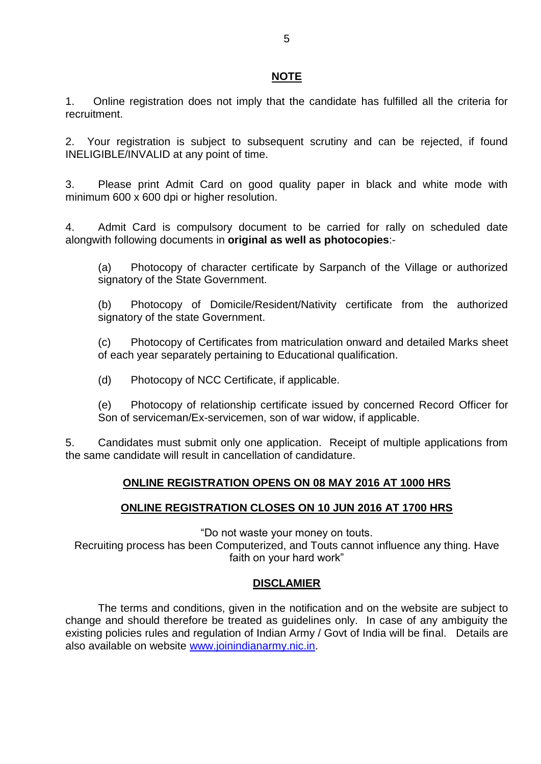## **NOTE**

1. Online registration does not imply that the candidate has fulfilled all the criteria for recruitment.

2. Your registration is subject to subsequent scrutiny and can be rejected, if found INELIGIBLE/INVALID at any point of time.

3. Please print Admit Card on good quality paper in black and white mode with minimum 600 x 600 dpi or higher resolution.

4. Admit Card is compulsory document to be carried for rally on scheduled date alongwith following documents in **original as well as photocopies**:-

(a) Photocopy of character certificate by Sarpanch of the Village or authorized signatory of the State Government.

(b) Photocopy of Domicile/Resident/Nativity certificate from the authorized signatory of the state Government.

(c) Photocopy of Certificates from matriculation onward and detailed Marks sheet of each year separately pertaining to Educational qualification.

(d) Photocopy of NCC Certificate, if applicable.

(e) Photocopy of relationship certificate issued by concerned Record Officer for Son of serviceman/Ex-servicemen, son of war widow, if applicable.

5. Candidates must submit only one application. Receipt of multiple applications from the same candidate will result in cancellation of candidature.

## **ONLINE REGISTRATION OPENS ON 08 MAY 2016 AT 1000 HRS**

## **ONLINE REGISTRATION CLOSES ON 10 JUN 2016 AT 1700 HRS**

"Do not waste your money on touts.

Recruiting process has been Computerized, and Touts cannot influence any thing. Have faith on your hard work"

## **DISCLAMIER**

The terms and conditions, given in the notification and on the website are subject to change and should therefore be treated as guidelines only. In case of any ambiguity the existing policies rules and regulation of Indian Army / Govt of India will be final. Details are also available on website www.joinindianarmy.nic.in.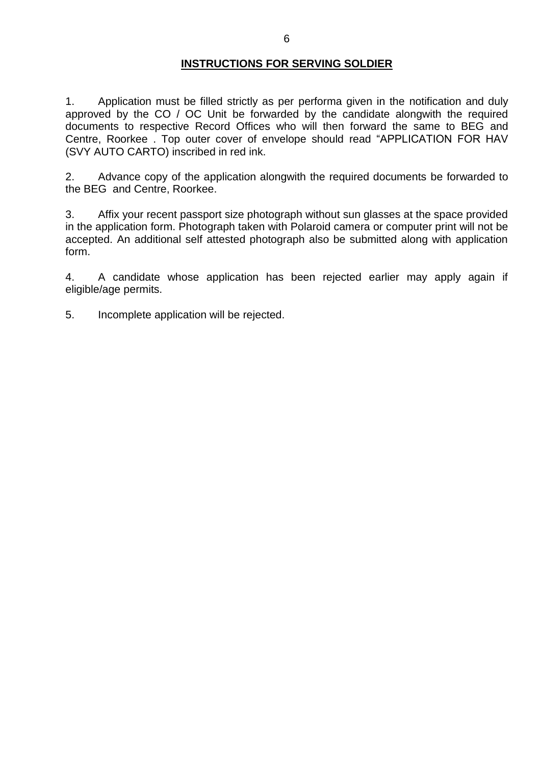#### **INSTRUCTIONS FOR SERVING SOLDIER**

1. Application must be filled strictly as per performa given in the notification and duly approved by the CO / OC Unit be forwarded by the candidate alongwith the required documents to respective Record Offices who will then forward the same to BEG and Centre, Roorkee . Top outer cover of envelope should read "APPLICATION FOR HAV (SVY AUTO CARTO) inscribed in red ink.

2. Advance copy of the application alongwith the required documents be forwarded to the BEG and Centre, Roorkee.

3. Affix your recent passport size photograph without sun glasses at the space provided in the application form. Photograph taken with Polaroid camera or computer print will not be accepted. An additional self attested photograph also be submitted along with application form.

4. A candidate whose application has been rejected earlier may apply again if eligible/age permits.

5. Incomplete application will be rejected.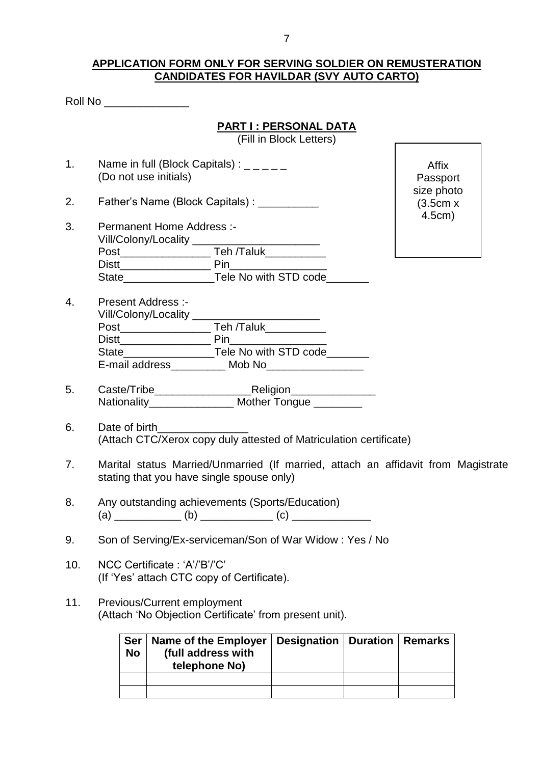#### **APPLICATION FORM ONLY FOR SERVING SOLDIER ON REMUSTERATION CANDIDATES FOR HAVILDAR (SVY AUTO CARTO)**

| <b>Roll No</b> |
|----------------|
|----------------|

## **PART I : PERSONAL DATA**

(Fill in Block Letters)

- 1. Name in full (Block Capitals) :  $\frac{1}{2}$ (Do not use initials)
- 2. Father's Name (Block Capitals) :

Affix Passport size photo (3.5cm x 4.5cm)

- 3. Permanent Home Address :- Vill/Colony/Locality \_\_\_\_\_\_\_\_\_ Post\_\_\_\_\_\_\_\_\_\_\_\_\_\_\_ Teh /Taluk\_\_\_\_\_\_\_\_\_\_ Distt\_\_\_\_\_\_\_\_\_\_\_\_\_\_\_ Pin\_\_\_\_\_\_\_\_\_\_\_\_\_\_\_\_ State\_\_\_\_\_\_\_\_\_\_\_\_\_\_\_\_\_\_\_\_\_\_\_\_Tele No with STD code\_\_\_\_\_\_\_\_\_
- 4. Present Address :- Vill/Colony/Locality \_\_\_\_\_\_\_\_\_\_\_\_\_\_\_\_\_\_\_\_\_ Post\_\_\_\_\_\_\_\_\_\_\_\_\_\_\_ Teh /Taluk\_\_\_\_\_\_\_\_\_\_ Distt\_\_\_\_\_\_\_\_\_\_\_\_\_\_\_ Pin\_\_\_\_\_\_\_\_\_\_\_\_\_\_\_\_ State\_\_\_\_\_\_\_\_\_\_\_\_\_\_\_Tele No with STD code\_\_\_\_\_\_\_ E-mail address Mob No
- 5. Caste/Tribe\_\_\_\_\_\_\_\_\_\_\_\_\_\_\_\_Religion\_\_\_\_\_\_\_\_\_\_\_\_\_\_ Nationality\_\_\_\_\_\_\_\_\_\_\_\_\_\_ Mother Tongue \_\_\_\_\_\_\_\_
- 6. Date of birth (Attach CTC/Xerox copy duly attested of Matriculation certificate)
- 7. Marital status Married/Unmarried (If married, attach an affidavit from Magistrate stating that you have single spouse only)
- 8. Any outstanding achievements (Sports/Education) (a) \_\_\_\_\_\_\_\_\_\_\_ (b) \_\_\_\_\_\_\_\_\_\_\_\_ (c) \_\_\_\_\_\_\_\_\_\_\_\_\_
- 9. Son of Serving/Ex-serviceman/Son of War Widow : Yes / No
- 10. NCC Certificate : 'A'/'B'/'C' (If 'Yes' attach CTC copy of Certificate).
- 11. Previous/Current employment (Attach 'No Objection Certificate' from present unit).

| <b>Ser</b><br><b>No</b> | Name of the Employer<br>(full address with<br>telephone No) | <b>Designation   Duration   Remarks</b> |  |
|-------------------------|-------------------------------------------------------------|-----------------------------------------|--|
|                         |                                                             |                                         |  |
|                         |                                                             |                                         |  |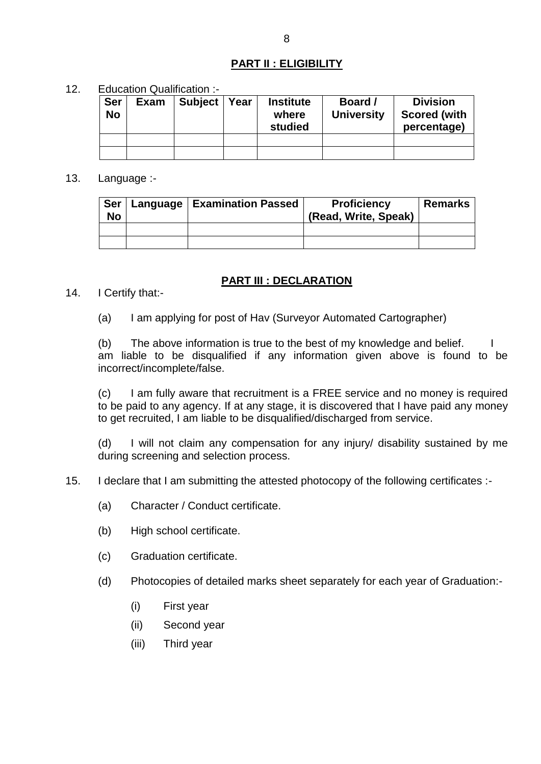## **PART II : ELIGIBILITY**

12. Education Qualification :-

| <b>Ser</b><br><b>No</b> | <b>Exam</b> | <b>Subject</b> | Year | <b>Institute</b><br>where | Board /<br><b>University</b> | <b>Division</b><br><b>Scored (with</b> |
|-------------------------|-------------|----------------|------|---------------------------|------------------------------|----------------------------------------|
|                         |             |                |      | studied                   |                              | percentage)                            |
|                         |             |                |      |                           |                              |                                        |

13. Language :-

| <b>Ser</b><br>No | Language   Examination Passed | <b>Proficiency</b><br>(Read, Write, Speak) | <b>Remarks</b> |
|------------------|-------------------------------|--------------------------------------------|----------------|
|                  |                               |                                            |                |
|                  |                               |                                            |                |

## **PART III : DECLARATION**

- 14. I Certify that:-
	- (a) I am applying for post of Hav (Surveyor Automated Cartographer)

(b) The above information is true to the best of my knowledge and belief. am liable to be disqualified if any information given above is found to be incorrect/incomplete/false.

(c) I am fully aware that recruitment is a FREE service and no money is required to be paid to any agency. If at any stage, it is discovered that I have paid any money to get recruited, I am liable to be disqualified/discharged from service.

(d) I will not claim any compensation for any injury/ disability sustained by me during screening and selection process.

- 15. I declare that I am submitting the attested photocopy of the following certificates :-
	- (a) Character / Conduct certificate.
	- (b) High school certificate.
	- (c) Graduation certificate.
	- (d) Photocopies of detailed marks sheet separately for each year of Graduation:-
		- (i) First year
		- (ii) Second year
		- (iii) Third year